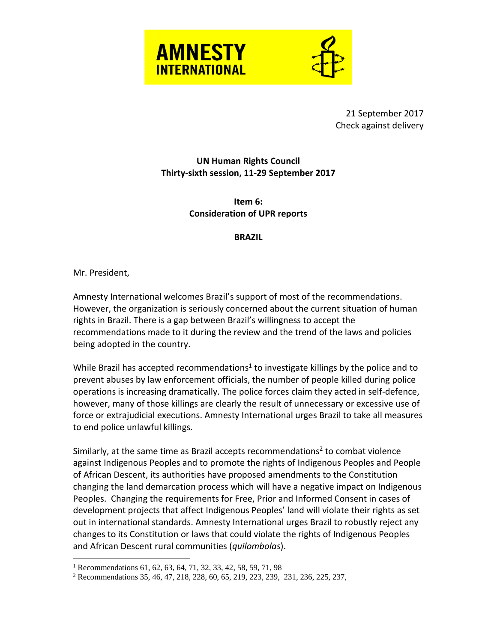

21 September 2017 Check against delivery

**UN Human Rights Council Thirty-sixth session, 11-29 September 2017**

> **Item 6: Consideration of UPR reports**

## **BRAZIL**

Mr. President,

 $\overline{a}$ 

Amnesty International welcomes Brazil's support of most of the recommendations. However, the organization is seriously concerned about the current situation of human rights in Brazil. There is a gap between Brazil's willingness to accept the recommendations made to it during the review and the trend of the laws and policies being adopted in the country.

While Brazil has accepted recommendations<sup>1</sup> to investigate killings by the police and to prevent abuses by law enforcement officials, the number of people killed during police operations is increasing dramatically. The police forces claim they acted in self-defence, however, many of those killings are clearly the result of unnecessary or excessive use of force or extrajudicial executions. Amnesty International urges Brazil to take all measures to end police unlawful killings.

Similarly, at the same time as Brazil accepts recommendations<sup>2</sup> to combat violence against Indigenous Peoples and to promote the rights of Indigenous Peoples and People of African Descent, its authorities have proposed amendments to the Constitution changing the land demarcation process which will have a negative impact on Indigenous Peoples. Changing the requirements for Free, Prior and Informed Consent in cases of development projects that affect Indigenous Peoples' land will violate their rights as set out in international standards. Amnesty International urges Brazil to robustly reject any changes to its Constitution or laws that could violate the rights of Indigenous Peoples and African Descent rural communities (*quilombolas*).

<sup>&</sup>lt;sup>1</sup> Recommendations 61, 62, 63, 64, 71, 32, 33, 42, 58, 59, 71, 98

<sup>2</sup> Recommendations 35, 46, 47, 218, 228, 60, 65, 219, 223, 239, 231, 236, 225, 237,